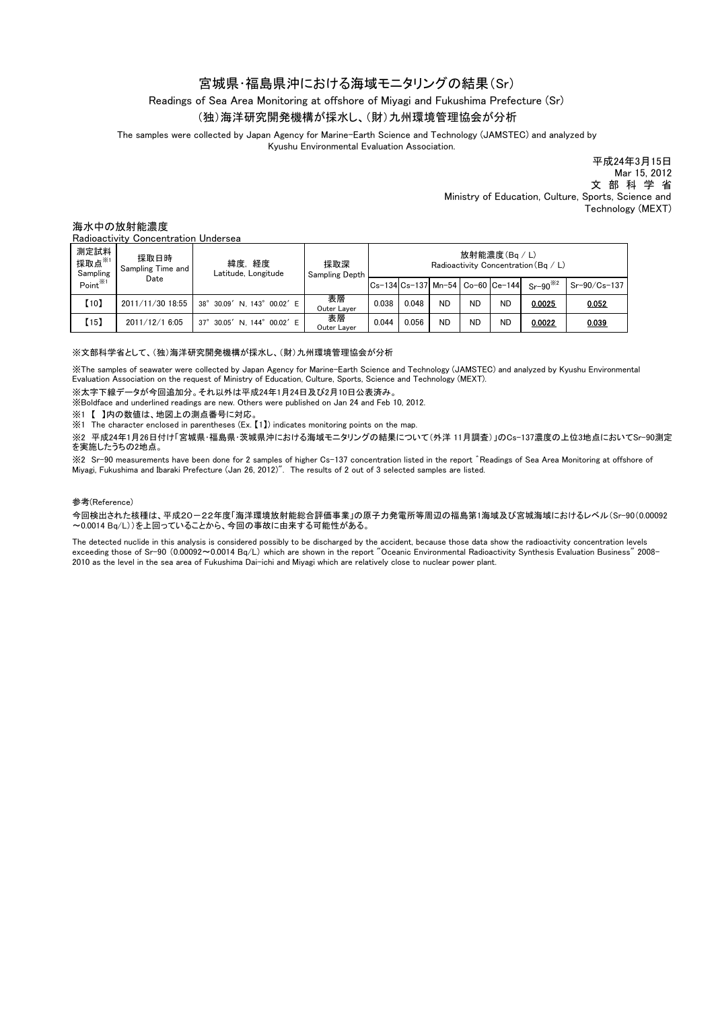# 宮城県・福島県沖における海域モニタリングの結果(Sr)

Readings of Sea Area Monitoring at offshore of Miyagi and Fukushima Prefecture (Sr)

## (独)海洋研究開発機構が採水し、(財)九州環境管理協会が分析

The samples were collected by Japan Agency for Marine-Earth Science and Technology (JAMSTEC) and analyzed by Kyushu Environmental Evaluation Association.

> 平成24年3月15日 Mar 15, 2012 文 部 科 学 省 Ministry of Education, Culture, Sports, Science and Technology (MEXT)

海水中の放射能濃度

Radioactivity Concentration Undersea

| 測定試料<br>採取点※1<br>Sampling<br>$Point^{\mathcal{K}1}$ | 採取日時<br>Sampling Time and<br>Date | 緯度,経度<br>Latitude, Longitude          | 採取深<br><b>Sampling Depth</b> | 放射能濃度(Bq/L)<br>Radioactivity Concentration (Bg / L) |       |           |           |                                  |              |              |
|-----------------------------------------------------|-----------------------------------|---------------------------------------|------------------------------|-----------------------------------------------------|-------|-----------|-----------|----------------------------------|--------------|--------------|
|                                                     |                                   |                                       |                              |                                                     |       |           |           | Cs-134 Cs-137 Mn-54 Co-60 Ce-144 | $Sr-90^{32}$ | Sr-90/Cs-137 |
| [10]                                                | 2011/11/30 18:55                  | 38° 30.09' N. 143° 00.02' E           | 表層<br>Outer Layer            | 0.038                                               | 0.048 | <b>ND</b> | <b>ND</b> | <b>ND</b>                        | 0.0025       | 0.052        |
| (15)                                                | 2011/12/1 6:05                    | 30.05' N. 144° 00.02' E<br>$37^\circ$ | 表層<br>Outer Layer            | 0.044                                               | 0.056 | <b>ND</b> | <b>ND</b> | ND                               | 0.0022       | 0.039        |

#### ※文部科学省として、(独)海洋研究開発機構が採水し、(財)九州環境管理協会が分析

※The samples of seawater were collected by Japan Agency for Marine-Earth Science and Technology (JAMSTEC) and analyzed by Kyushu Environmental Evaluation Association on the request of Ministry of Education, Culture, Sports, Science and Technology (MEXT).

※太字下線データが今回追加分。それ以外は平成24年1月24日及び2月10日公表済み。

※Boldface and underlined readings are new. Others were published on Jan 24 and Feb 10, 2012.

※1 【 】内の数値は、地図上の測点番号に対応。

※1 The character enclosed in parentheses (Ex. 【1】) indicates monitoring points on the map.

※2 平成24年1月26日付け「宮城県・福島県・茨城県沖における海域モニタリングの結果について(外洋 11月調査)」のCs-137濃度の上位3地点においてSr-90測定 を実施したうちの2地点。

※2 Sr-90 measurements have been done for 2 samples of higher Cs-137 concentration listed in the report ゛Readings of Sea Area Monitoring at offshore of Miyagi, Fukushima and Ibaraki Prefecture (Jan 26, 2012)". The results of 2 out of 3 selected samples are listed.

### 参考(Reference)

今回検出された核種は、平成20-22年度「海洋環境放射能総合評価事業」の原子力発電所等周辺の福島第1海域及び宮城海域におけるレベル(Sr-90(0.00092 ~0.0014 Bq/L))を上回っていることから、今回の事故に由来する可能性がある。

The detected nuclide in this analysis is considered possibly to be discharged by the accident, because those data show the radioactivity concentration levels exceeding those of Sr-90 (0.00092~0.0014 Bq/L) which are shown in the report "Oceanic Environmental Radioactivity Synthesis Evaluation Business" 2008- 2010 as the level in the sea area of Fukushima Dai-ichi and Miyagi which are relatively close to nuclear power plant.